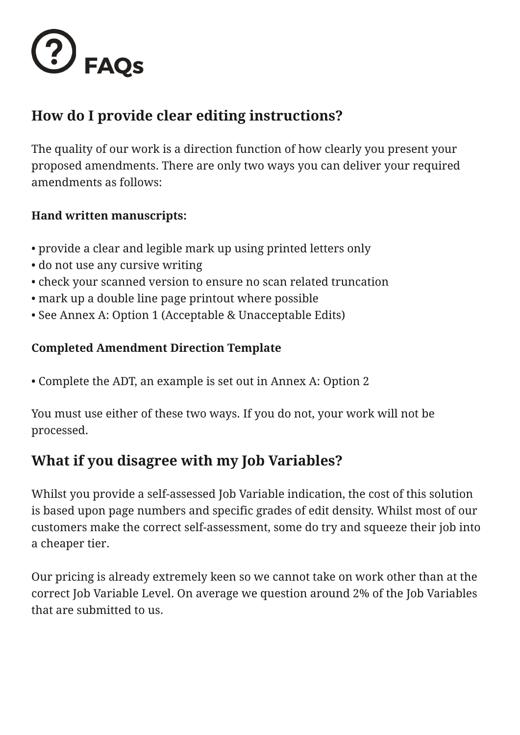

## **How do I provide clear editing instructions?**

The quality of our work is a direction function of how clearly you present your proposed amendments. There are only two ways you can deliver your required amendments as follows:

#### **Hand written manuscripts:**

- provide a clear and legible mark up using printed letters only
- do not use any cursive writing
- check your scanned version to ensure no scan related truncation
- mark up a double line page printout where possible
- See Annex A: Option 1 (Acceptable & Unacceptable Edits)

#### **Completed Amendment Direction Template**

• Complete the ADT, an example is set out in Annex A: Option 2

You must use either of these two ways. If you do not, your work will not be processed.

### **What if you disagree with my Job Variables?**

Whilst you provide a self-assessed Job Variable indication, the cost of this solution is based upon page numbers and specific grades of edit density. Whilst most of our customers make the correct self-assessment, some do try and squeeze their job into a cheaper tier.

Our pricing is already extremely keen so we cannot take on work other than at the correct Job Variable Level. On average we question around 2% of the Job Variables that are submitted to us.